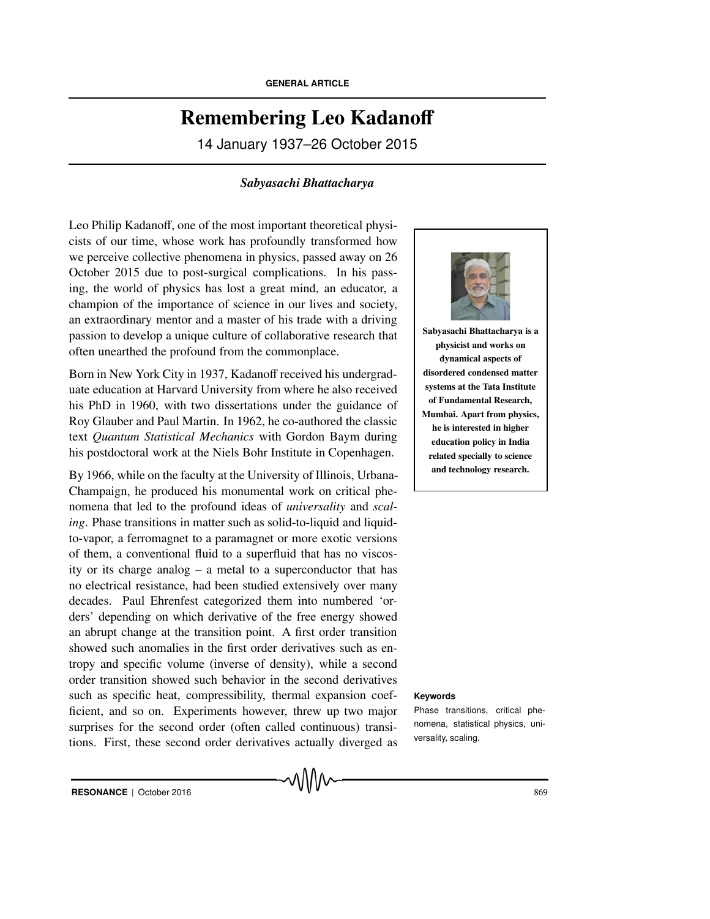# Remembering Leo Kadanoff

14 January 1937–26 October 2015

### *Sabyasachi Bhattacharya*

Leo Philip Kadanoff, one of the most important theoretical physicists of our time, whose work has profoundly transformed how we perceive collective phenomena in physics, passed away on 26 October 2015 due to post-surgical complications. In his passing, the world of physics has lost a great mind, an educator, a champion of the importance of science in our lives and society, an extraordinary mentor and a master of his trade with a driving passion to develop a unique culture of collaborative research that often unearthed the profound from the commonplace.

Born in New York City in 1937, Kadanoff received his undergraduate education at Harvard University from where he also received his PhD in 1960, with two dissertations under the guidance of Roy Glauber and Paul Martin. In 1962, he co-authored the classic text *Quantum Statistical Mechanics* with Gordon Baym during his postdoctoral work at the Niels Bohr Institute in Copenhagen.

By 1966, while on the faculty at the University of Illinois, Urbana-Champaign, he produced his monumental work on critical phenomena that led to the profound ideas of *universality* and *scaling*. Phase transitions in matter such as solid-to-liquid and liquidto-vapor, a ferromagnet to a paramagnet or more exotic versions of them, a conventional fluid to a superfluid that has no viscosity or its charge analog – a metal to a superconductor that has no electrical resistance, had been studied extensively over many decades. Paul Ehrenfest categorized them into numbered 'orders' depending on which derivative of the free energy showed an abrupt change at the transition point. A first order transition showed such anomalies in the first order derivatives such as entropy and specific volume (inverse of density), while a second order transition showed such behavior in the second derivatives such as specific heat, compressibility, thermal expansion coef- **Keywords** ficient, and so on. Experiments however, threw up two major surprises for the second order (often called continuous) transitions. First, these second order derivatives actually diverged as



Sabyasachi Bhattacharya is a physicist and works on dynamical aspects of disordered condensed matter systems at the Tata Institute of Fundamental Research, Mumbai. Apart from physics, he is interested in higher education policy in India related specially to science and technology research.

Phase transitions, critical phenomena, statistical physics, universality, scaling.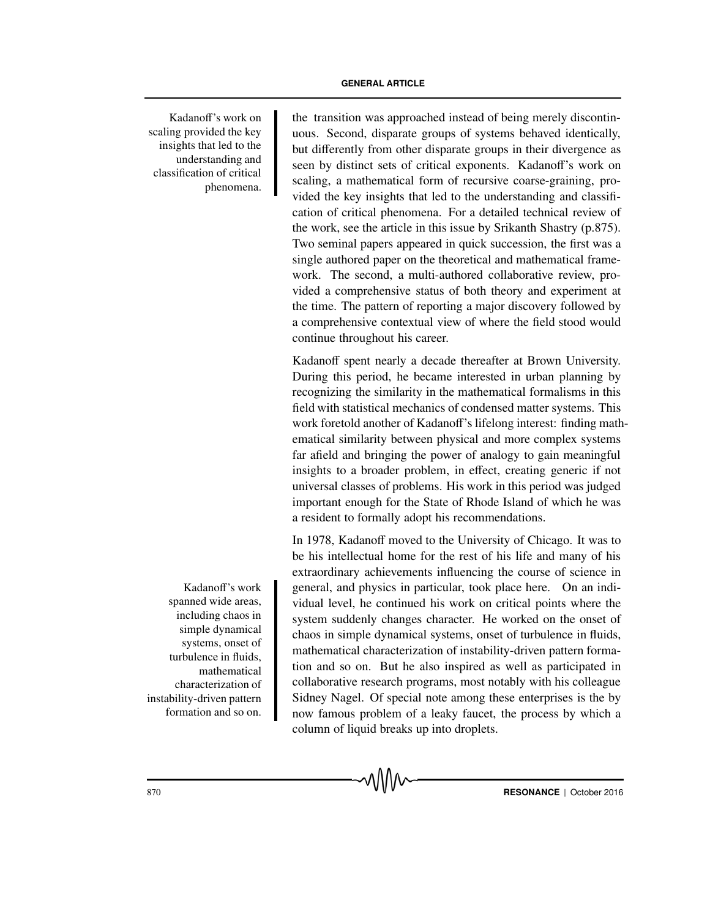Kadanoff's work on scaling provided the key insights that led to the understanding and classification of critical phenomena. the transition was approached instead of being merely discontinuous. Second, disparate groups of systems behaved identically, but differently from other disparate groups in their divergence as seen by distinct sets of critical exponents. Kadanoff's work on scaling, a mathematical form of recursive coarse-graining, provided the key insights that led to the understanding and classification of critical phenomena. For a detailed technical review of the work, see the article in this issue by Srikanth Shastry (p.875). Two seminal papers appeared in quick succession, the first was a single authored paper on the theoretical and mathematical framework. The second, a multi-authored collaborative review, provided a comprehensive status of both theory and experiment at the time. The pattern of reporting a major discovery followed by a comprehensive contextual view of where the field stood would continue throughout his career.

Kadanoff spent nearly a decade thereafter at Brown University. During this period, he became interested in urban planning by recognizing the similarity in the mathematical formalisms in this field with statistical mechanics of condensed matter systems. This work foretold another of Kadanoff's lifelong interest: finding mathematical similarity between physical and more complex systems far afield and bringing the power of analogy to gain meaningful insights to a broader problem, in effect, creating generic if not universal classes of problems. His work in this period was judged important enough for the State of Rhode Island of which he was a resident to formally adopt his recommendations.

In 1978, Kadanoff moved to the University of Chicago. It was to be his intellectual home for the rest of his life and many of his extraordinary achievements influencing the course of science in Kadanoff's work general, and physics in particular, took place here. On an individual level, he continued his work on critical points where the system suddenly changes character. He worked on the onset of chaos in simple dynamical systems, onset of turbulence in fluids, mathematical characterization of instability-driven pattern formation and so on. But he also inspired as well as participated in collaborative research programs, most notably with his colleague Sidney Nagel. Of special note among these enterprises is the by now famous problem of a leaky faucet, the process by which a column of liquid breaks up into droplets.

spanned wide areas, including chaos in simple dynamical systems, onset of turbulence in fluids, mathematical characterization of instability-driven pattern formation and so on.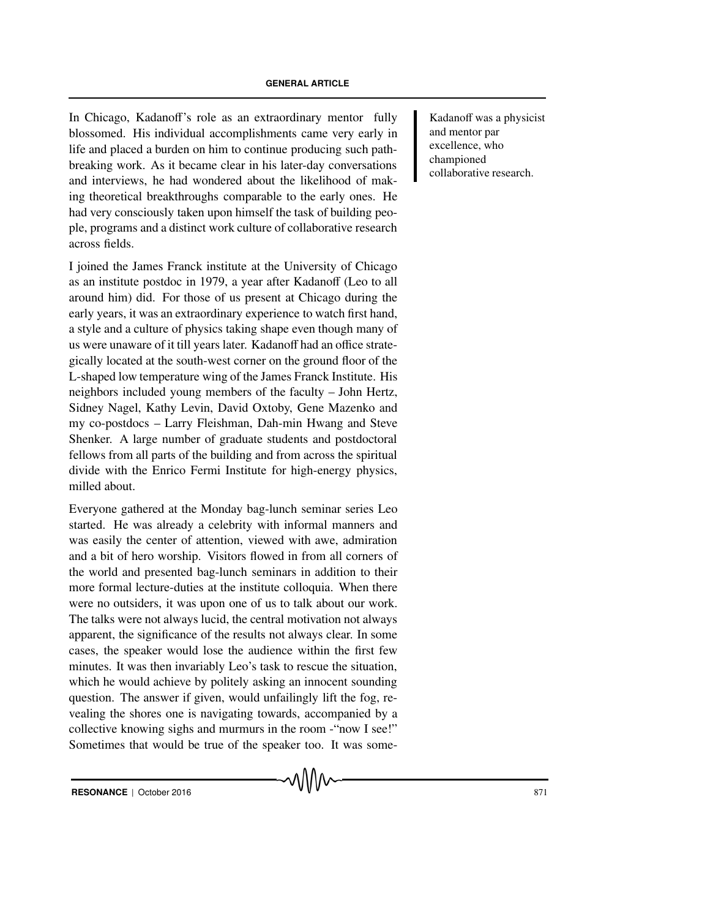In Chicago, Kadanoff's role as an extraordinary mentor fully Kadanoff was a physicist blossomed. His individual accomplishments came very early in life and placed a burden on him to continue producing such pathbreaking work. As it became clear in his later-day conversations and interviews, he had wondered about the likelihood of making theoretical breakthroughs comparable to the early ones. He had very consciously taken upon himself the task of building people, programs and a distinct work culture of collaborative research across fields.

I joined the James Franck institute at the University of Chicago as an institute postdoc in 1979, a year after Kadanoff (Leo to all around him) did. For those of us present at Chicago during the early years, it was an extraordinary experience to watch first hand, a style and a culture of physics taking shape even though many of us were unaware of it till years later. Kadanoff had an office strategically located at the south-west corner on the ground floor of the L-shaped low temperature wing of the James Franck Institute. His neighbors included young members of the faculty – John Hertz, Sidney Nagel, Kathy Levin, David Oxtoby, Gene Mazenko and my co-postdocs – Larry Fleishman, Dah-min Hwang and Steve Shenker. A large number of graduate students and postdoctoral fellows from all parts of the building and from across the spiritual divide with the Enrico Fermi Institute for high-energy physics, milled about.

Everyone gathered at the Monday bag-lunch seminar series Leo started. He was already a celebrity with informal manners and was easily the center of attention, viewed with awe, admiration and a bit of hero worship. Visitors flowed in from all corners of the world and presented bag-lunch seminars in addition to their more formal lecture-duties at the institute colloquia. When there were no outsiders, it was upon one of us to talk about our work. The talks were not always lucid, the central motivation not always apparent, the significance of the results not always clear. In some cases, the speaker would lose the audience within the first few minutes. It was then invariably Leo's task to rescue the situation, which he would achieve by politely asking an innocent sounding question. The answer if given, would unfailingly lift the fog, revealing the shores one is navigating towards, accompanied by a collective knowing sighs and murmurs in the room -"now I see!" Sometimes that would be true of the speaker too. It was someand mentor par excellence, who championed collaborative research.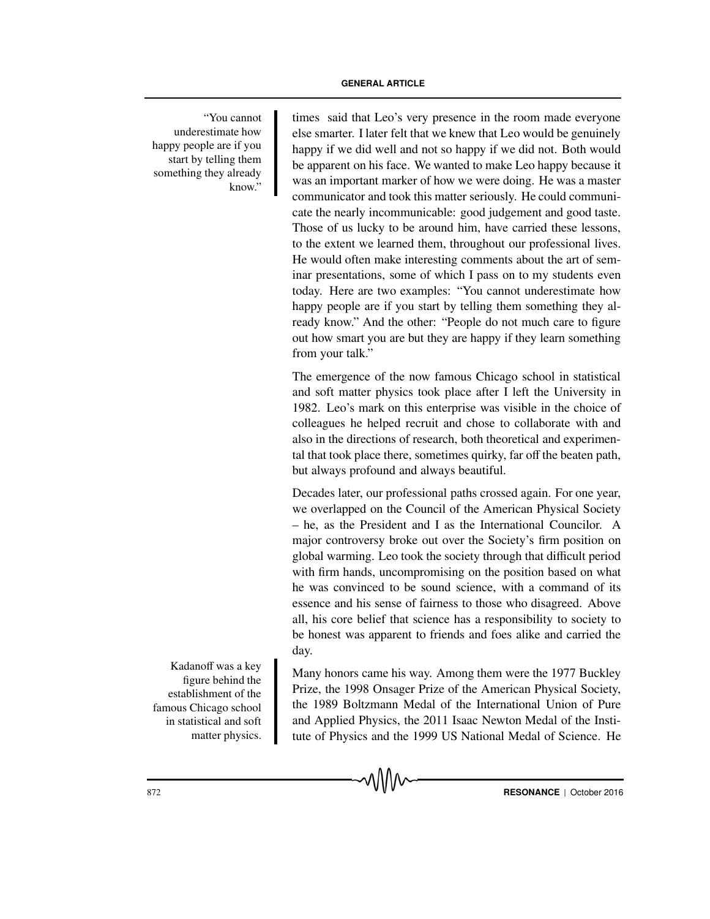"You cannot underestimate how happy people are if you start by telling them something they already know."

times said that Leo's very presence in the room made everyone else smarter. I later felt that we knew that Leo would be genuinely happy if we did well and not so happy if we did not. Both would be apparent on his face. We wanted to make Leo happy because it was an important marker of how we were doing. He was a master communicator and took this matter seriously. He could communicate the nearly incommunicable: good judgement and good taste. Those of us lucky to be around him, have carried these lessons, to the extent we learned them, throughout our professional lives. He would often make interesting comments about the art of seminar presentations, some of which I pass on to my students even today. Here are two examples: "You cannot underestimate how happy people are if you start by telling them something they already know." And the other: "People do not much care to figure out how smart you are but they are happy if they learn something from your talk."

The emergence of the now famous Chicago school in statistical and soft matter physics took place after I left the University in 1982. Leo's mark on this enterprise was visible in the choice of colleagues he helped recruit and chose to collaborate with and also in the directions of research, both theoretical and experimental that took place there, sometimes quirky, far off the beaten path, but always profound and always beautiful.

Decades later, our professional paths crossed again. For one year, we overlapped on the Council of the American Physical Society – he, as the President and I as the International Councilor. A major controversy broke out over the Society's firm position on global warming. Leo took the society through that difficult period with firm hands, uncompromising on the position based on what he was convinced to be sound science, with a command of its essence and his sense of fairness to those who disagreed. Above all, his core belief that science has a responsibility to society to be honest was apparent to friends and foes alike and carried the day.

Many honors came his way. Among them were the 1977 Buckley Prize, the 1998 Onsager Prize of the American Physical Society, the 1989 Boltzmann Medal of the International Union of Pure and Applied Physics, the 2011 Isaac Newton Medal of the Institute of Physics and the 1999 US National Medal of Science. He

Kadanoff was a key figure behind the establishment of the famous Chicago school in statistical and soft matter physics.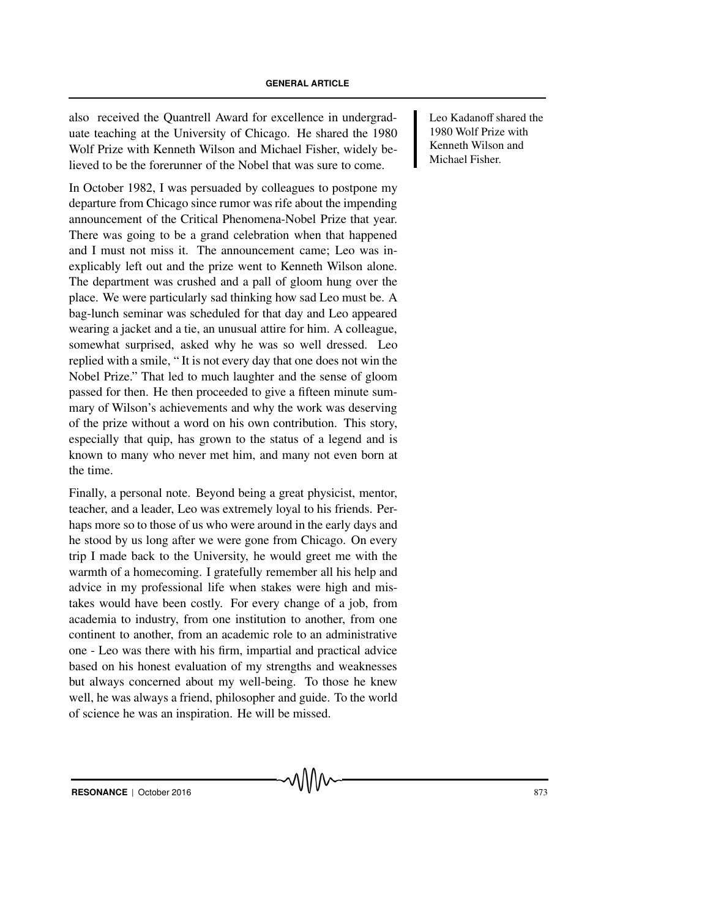also received the Quantrell Award for excellence in undergrad- Leo Kadanoff shared the uate teaching at the University of Chicago. He shared the 1980 Wolf Prize with Kenneth Wilson and Michael Fisher, widely believed to be the forerunner of the Nobel that was sure to come.

In October 1982, I was persuaded by colleagues to postpone my departure from Chicago since rumor was rife about the impending announcement of the Critical Phenomena-Nobel Prize that year. There was going to be a grand celebration when that happened and I must not miss it. The announcement came; Leo was inexplicably left out and the prize went to Kenneth Wilson alone. The department was crushed and a pall of gloom hung over the place. We were particularly sad thinking how sad Leo must be. A bag-lunch seminar was scheduled for that day and Leo appeared wearing a jacket and a tie, an unusual attire for him. A colleague, somewhat surprised, asked why he was so well dressed. Leo replied with a smile, " It is not every day that one does not win the Nobel Prize." That led to much laughter and the sense of gloom passed for then. He then proceeded to give a fifteen minute summary of Wilson's achievements and why the work was deserving of the prize without a word on his own contribution. This story, especially that quip, has grown to the status of a legend and is known to many who never met him, and many not even born at the time.

Finally, a personal note. Beyond being a great physicist, mentor, teacher, and a leader, Leo was extremely loyal to his friends. Perhaps more so to those of us who were around in the early days and he stood by us long after we were gone from Chicago. On every trip I made back to the University, he would greet me with the warmth of a homecoming. I gratefully remember all his help and advice in my professional life when stakes were high and mistakes would have been costly. For every change of a job, from academia to industry, from one institution to another, from one continent to another, from an academic role to an administrative one - Leo was there with his firm, impartial and practical advice based on his honest evaluation of my strengths and weaknesses but always concerned about my well-being. To those he knew well, he was always a friend, philosopher and guide. To the world of science he was an inspiration. He will be missed.

1980 Wolf Prize with Kenneth Wilson and Michael Fisher.